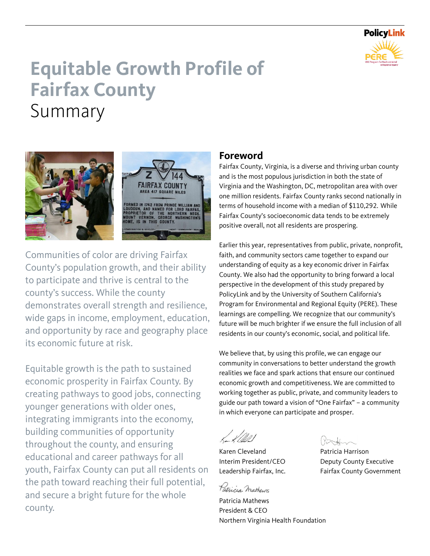

# **Equitable Growth Profile of Fairfax County** Summary



Communities of color are driving Fairfax County's population growth, and their ability to participate and thrive is central to the county's success. While the county demonstrates overall strength and resilience, wide gaps in income, employment, education, and opportunity by race and geography place its economic future at risk.

Equitable growth is the path to sustained economic prosperity in Fairfax County. By creating pathways to good jobs, connecting younger generations with older ones, integrating immigrants into the economy, building communities of opportunity throughout the county, and ensuring educational and career pathways for all youth, Fairfax County can put all residents on the path toward reaching their full potential, and secure a bright future for the whole county.

# **Foreword**

Fairfax County, Virginia, is a diverse and thriving urban county and is the most populous jurisdiction in both the state of Virginia and the Washington, DC, metropolitan area with over one million residents. Fairfax County ranks second nationally in terms of household income with a median of \$110,292. While Fairfax County's socioeconomic data tends to be extremely positive overall, not all residents are prospering.

Earlier this year, representatives from public, private, nonprofit, faith, and community sectors came together to expand our understanding of equity as a key economic driver in Fairfax County. We also had the opportunity to bring forward a local perspective in the development of this study prepared by PolicyLink and by the University of Southern California's Program for Environmental and Regional Equity (PERE). These learnings are compelling. We recognize that our community's future will be much brighter if we ensure the full inclusion of all residents in our county's economic, social, and political life.

We believe that, by using this profile, we can engage our community in conversations to better understand the growth realities we face and spark actions that ensure our continued economic growth and competitiveness. We are committed to working together as public, private, and community leaders to guide our path toward a vision of "One Fairfax" – a community in which everyone can participate and prosper.

Karen Cleveland Patricia Harrison

Patricia Mathews

 $\gamma$ 

Interim President/CEO Deputy County Executive Leadership Fairfax, Inc. Fairfax County Government

Patricia Mathews President & CEO Northern Virginia Health Foundation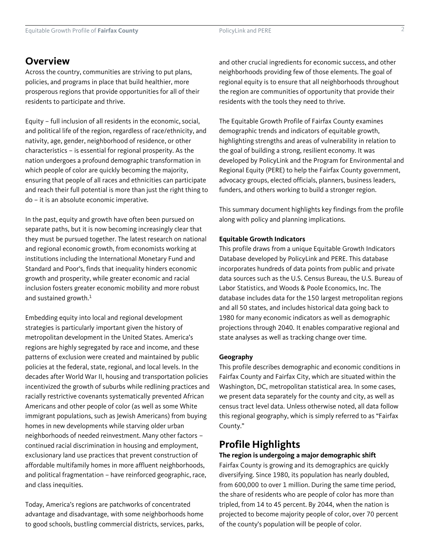# **Overview**

Across the country, communities are striving to put plans, policies, and programs in place that build healthier, more prosperous regions that provide opportunities for all of their residents to participate and thrive.

Equity – full inclusion of all residents in the economic, social, and political life of the region, regardless of race/ethnicity, and nativity, age, gender, neighborhood of residence, or other characteristics – is essential for regional prosperity. As the nation undergoes a profound demographic transformation in which people of color are quickly becoming the majority, ensuring that people of all races and ethnicities can participate and reach their full potential is more than just the right thing to do – it is an absolute economic imperative.

In the past, equity and growth have often been pursued on separate paths, but it is now becoming increasingly clear that they must be pursued together. The latest research on national and regional economic growth, from economists working at institutions including the International Monetary Fund and Standard and Poor's, finds that inequality hinders economic growth and prosperity, while greater economic and racial inclusion fosters greater economic mobility and more robust and sustained growth.<sup>1</sup>

Embedding equity into local and regional development strategies is particularly important given the history of metropolitan development in the United States. America's regions are highly segregated by race and income, and these patterns of exclusion were created and maintained by public policies at the federal, state, regional, and local levels. In the decades after World War II, housing and transportation policies incentivized the growth of suburbs while redlining practices and racially restrictive covenants systematically prevented African Americans and other people of color (as well as some White immigrant populations, such as Jewish Americans) from buying homes in new developments while starving older urban neighborhoods of needed reinvestment. Many other factors – continued racial discrimination in housing and employment, exclusionary land use practices that prevent construction of affordable multifamily homes in more affluent neighborhoods, and political fragmentation – have reinforced geographic, race, and class inequities.

Today, America's regions are patchworks of concentrated advantage and disadvantage, with some neighborhoods home to good schools, bustling commercial districts, services, parks, and other crucial ingredients for economic success, and other neighborhoods providing few of those elements. The goal of regional equity is to ensure that all neighborhoods throughout the region are communities of opportunity that provide their residents with the tools they need to thrive.

The Equitable Growth Profile of Fairfax County examines demographic trends and indicators of equitable growth, highlighting strengths and areas of vulnerability in relation to the goal of building a strong, resilient economy. It was developed by PolicyLink and the Program for Environmental and Regional Equity (PERE) to help the Fairfax County government, advocacy groups, elected officials, planners, business leaders, funders, and others working to build a stronger region.

This summary document highlights key findings from the profile along with policy and planning implications.

## **Equitable Growth Indicators**

This profile draws from a unique Equitable Growth Indicators Database developed by PolicyLink and PERE. This database incorporates hundreds of data points from public and private data sources such as the U.S. Census Bureau, the U.S. Bureau of Labor Statistics, and Woods & Poole Economics, Inc. The database includes data for the 150 largest metropolitan regions and all 50 states, and includes historical data going back to 1980 for many economic indicators as well as demographic projections through 2040. It enables comparative regional and state analyses as well as tracking change over time.

## **Geography**

This profile describes demographic and economic conditions in Fairfax County and Fairfax City, which are situated within the Washington, DC, metropolitan statistical area. In some cases, we present data separately for the county and city, as well as census tract level data. Unless otherwise noted, all data follow this regional geography, which is simply referred to as "Fairfax County."

# **Profile Highlights**

## **The region is undergoing a major demographic shift**

Fairfax County is growing and its demographics are quickly diversifying. Since 1980, its population has nearly doubled, from 600,000 to over 1 million. During the same time period, the share of residents who are people of color has more than tripled, from 14 to 45 percent. By 2044, when the nation is projected to become majority people of color, over 70 percent of the county's population will be people of color.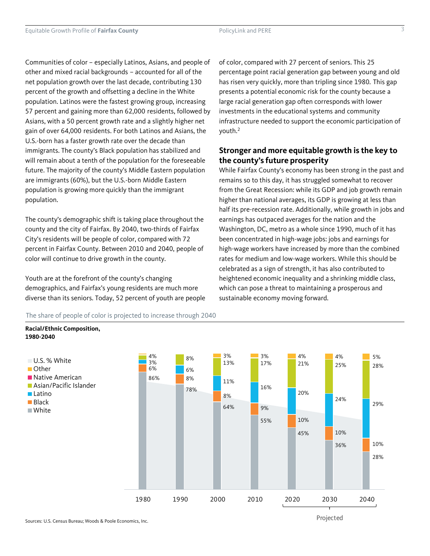Communities of color – especially Latinos, Asians, and people of other and mixed racial backgrounds – accounted for all of the net population growth over the last decade, contributing 130 percent of the growth and offsetting a decline in the White population. Latinos were the fastest growing group, increasing 57 percent and gaining more than 62,000 residents, followed by Asians, with a 50 percent growth rate and a slightly higher net gain of over 64,000 residents. For both Latinos and Asians, the U.S.-born has a faster growth rate over the decade than immigrants. The county's Black population has stabilized and will remain about a tenth of the population for the foreseeable future. The majority of the county's Middle Eastern population are immigrants (60%), but the U.S.-born Middle Eastern population is growing more quickly than the immigrant population.

The county's demographic shift is taking place throughout the county and the city of Fairfax. By 2040, two-thirds of Fairfax City's residents will be people of color, compared with 72 percent in Fairfax County. Between 2010 and 2040, people of color will continue to drive growth in the county.

Youth are at the forefront of the county's changing demographics, and Fairfax's young residents are much more diverse than its seniors. Today, 52 percent of youth are people

The share of people of color is projected to increase through 2040

of color, compared with 27 percent of seniors. This 25 percentage point racial generation gap between young and old has risen very quickly, more than tripling since 1980. This gap presents a potential economic risk for the county because a large racial generation gap often corresponds with lower investments in the educational systems and community infrastructure needed to support the economic participation of youth.<sup>2</sup>

# **Stronger and more equitable growth is the key to the county's future prosperity**

While Fairfax County's economy has been strong in the past and remains so to this day, it has struggled somewhat to recover from the Great Recession: while its GDP and job growth remain higher than national averages, its GDP is growing at less than half its pre-recession rate. Additionally, while growth in jobs and earnings has outpaced averages for the nation and the Washington, DC, metro as a whole since 1990, much of it has been concentrated in high-wage jobs: jobs and earnings for high-wage workers have increased by more than the combined rates for medium and low-wage workers. While this should be celebrated as a sign of strength, it has also contributed to heightened economic inequality and a shrinking middle class, which can pose a threat to maintaining a prosperous and sustainable economy moving forward.

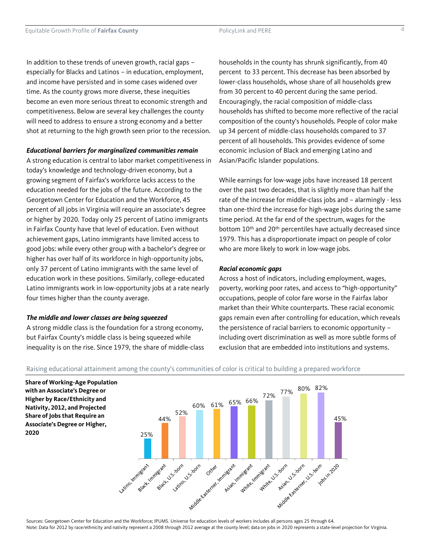In addition to these trends of uneven growth, racial gaps – especially for Blacks and Latinos – in education, employment, and income have persisted and in some cases widened over time. As the county grows more diverse, these inequities become an even more serious threat to economic strength and competitiveness. Below are several key challenges the county will need to address to ensure a strong economy and a better shot at returning to the high growth seen prior to the recession.

#### *Educational barriers for marginalized communities remain*

A strong education is central to labor market competitiveness in today's knowledge and technology-driven economy, but a growing segment of Fairfax's workforce lacks access to the education needed for the jobs of the future. According to the Georgetown Center for Education and the Workforce, 45 percent of all jobs in Virginia will require an associate's degree or higher by 2020. Today only 25 percent of Latino immigrants in Fairfax County have that level of education. Even without achievement gaps, Latino immigrants have limited access to good jobs: while every other group with a bachelor's degree or higher has over half of its workforce in high-opportunity jobs, only 37 percent of Latino immigrants with the same level of education work in these positions. Similarly, college-educated Latino immigrants work in low-opportunity jobs at a rate nearly four times higher than the county average.

## *The middle and lower classes are being squeezed*

A strong middle class is the foundation for a strong economy, but Fairfax County's middle class is being squeezed while inequality is on the rise. Since 1979, the share of middle-class

households in the county has shrunk significantly, from 40 percent to 33 percent. This decrease has been absorbed by lower-class households, whose share of all households grew from 30 percent to 40 percent during the same period. Encouragingly, the racial composition of middle-class households has shifted to become more reflective of the racial composition of the county's households. People of color make up 34 percent of middle-class households compared to 37 percent of all households. This provides evidence of some economic inclusion of Black and emerging Latino and Asian/Pacific Islander populations.

While earnings for low-wage jobs have increased 18 percent over the past two decades, that is slightly more than half the rate of the increase for middle-class jobs and – alarmingly - less than one-third the increase for high-wage jobs during the same time period. At the far end of the spectrum, wages for the bottom 10<sup>th</sup> and 20<sup>th</sup> percentiles have actually decreased since 1979. This has a disproportionate impact on people of color who are more likely to work in low-wage jobs.

#### *Racial economic gaps*

Across a host of indicators, including employment, wages, poverty, working poor rates, and access to "high-opportunity" occupations, people of color fare worse in the Fairfax labor market than their White counterparts. These racial economic gaps remain even after controlling for education, which reveals the persistence of racial barriers to economic opportunity – including overt discrimination as well as more subtle forms of exclusion that are embedded into institutions and systems.



#### Raising educational attainment among the county's communities of color is critical to building a prepared workforce

Sources: Georgetown Center for Education and the Workforce; IPUMS. Universe for education levels of workers includes all persons ages 25 through 64. Note: Data for 2012 by race/ethnicity and nativity represent a 2008 through 2012 average at the county level; data on jobs in 2020 represents a state-level projection for Virginia.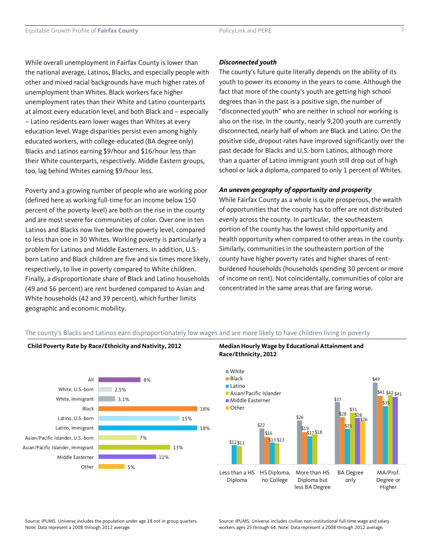While overall unemployment in Fairfax County is lower than the national average, Latinos, Blacks, and especially people with other and mixed racial backgrounds have much higher rates of unemployment than Whites. Black workers face higher unemployment rates than their White and Latino counterparts at almost every education level, and both Black and – especially – Latino residents earn lower wages than Whites at every education level. Wage disparities persist even among highly educated workers, with college-educated (BA degree only) Blacks and Latinos earning \$9/hour and \$16/hour less than their White counterparts, respectively. Middle Eastern groups, too, lag behind Whites earning \$9/hour less.

Poverty and a growing number of people who are working poor (defined here as working full-time for an income below 150 percent of the poverty level) are both on the rise in the county and are most severe for communities of color. Over one in ten Latinos and Blacks now live below the poverty level, compared to less than one in 30 Whites. Working poverty is particularly a problem for Latinos and Middle Easterners. In addition, U.S. born Latino and Black children are five and six times more likely, respectively, to live in poverty compared to White children. Finally, a disproportionate share of Black and Latino households (49 and 56 percent) are rent burdened compared to Asian and White households (42 and 39 percent), which further limits geographic and economic mobility.

## *Disconnected youth*

The county's future quite literally depends on the ability of its youth to power its economy in the years to come. Although the fact that more of the county's youth are getting high school degrees than in the past is a positive sign, the number of "disconnected youth" who are neither in school nor working is also on the rise. In the county, nearly 9,200 youth are currently disconnected, nearly half of whom are Black and Latino. On the positive side, dropout rates have improved significantly over the past decade for Blacks and U.S.-born Latinos, although more than a quarter of Latino immigrant youth still drop out of high school or lack a diploma, compared to only 1 percent of Whites.

## *An uneven geography of opportunity and prosperity*

While Fairfax County as a whole is quite prosperous, the wealth of opportunities that the county has to offer are not distributed evenly across the county. In particular, the southeastern portion of the county has the lowest child opportunity and health opportunity when compared to other areas in the county. Similarly, communities in the southeastern portion of the county have higher poverty rates and higher shares of rentburdened households (households spending 30 percent or more of income on rent). Not coincidentally, communities of color are concentrated in the same areas that are faring worse.



The county's Blacks and Latinos earn disproportionately low wages and are more likely to have children living in poverty

#### **Median Hourly Wage by Educational Attainment and Race/Ethnicity, 2012**



Source: IPUMS. Universe includes the population under age 18 not in group quarters. Note: Data represent a 2008 through 2012 average.

Source: IPUMS. Universe includes civilian non-institutional full-time wage and salary workers ages 25 through 64. Note: Data represent a 2008 through 2012 average.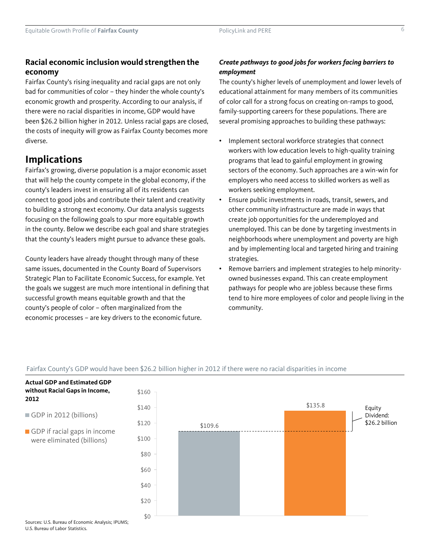# **Racial economic inclusion would strengthen the economy**

Fairfax County's rising inequality and racial gaps are not only bad for communities of color – they hinder the whole county's economic growth and prosperity. According to our analysis, if there were no racial disparities in income, GDP would have been \$26.2 billion higher in 2012. Unless racial gaps are closed, the costs of inequity will grow as Fairfax County becomes more diverse.

# **Implications**

Fairfax's growing, diverse population is a major economic asset that will help the county compete in the global economy, if the county's leaders invest in ensuring all of its residents can connect to good jobs and contribute their talent and creativity to building a strong next economy. Our data analysis suggests focusing on the following goals to spur more equitable growth in the county. Below we describe each goal and share strategies that the county's leaders might pursue to advance these goals.

County leaders have already thought through many of these same issues, documented in the County Board of Supervisors Strategic Plan to Facilitate Economic Success, for example. Yet the goals we suggest are much more intentional in defining that successful growth means equitable growth and that the county's people of color – often marginalized from the economic processes – are key drivers to the economic future.

# *Create pathways to good jobs for workers facing barriers to employment*

The county's higher levels of unemployment and lower levels of educational attainment for many members of its communities of color call for a strong focus on creating on-ramps to good, family-supporting careers for these populations. There are several promising approaches to building these pathways:

- Implement sectoral workforce strategies that connect workers with low education levels to high-quality training programs that lead to gainful employment in growing sectors of the economy. Such approaches are a win-win for employers who need access to skilled workers as well as workers seeking employment.
- Ensure public investments in roads, transit, sewers, and other community infrastructure are made in ways that create job opportunities for the underemployed and unemployed. This can be done by targeting investments in neighborhoods where unemployment and poverty are high and by implementing local and targeted hiring and training strategies.
- Remove barriers and implement strategies to help minorityowned businesses expand. This can create employment pathways for people who are jobless because these firms tend to hire more employees of color and people living in the community.



## Fairfax County's GDP would have been \$26.2 billion higher in 2012 if there were no racial disparities in income

Sources: U.S. Bureau of Economic Analysis; IPUMS; U.S. Bureau of Labor Statistics.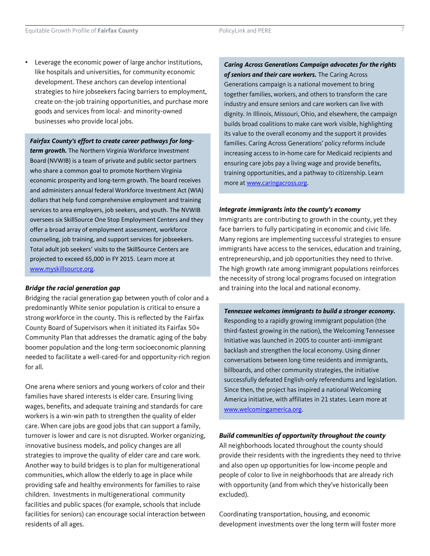• Leverage the economic power of large anchor institutions, like hospitals and universities, for community economic development. These anchors can develop intentional strategies to hire jobseekers facing barriers to employment, create on-the-job training opportunities, and purchase more goods and services from local- and minority-owned businesses who provide local jobs.

*Fairfax County's effort to create career pathways for longterm growth.* The Northern Virginia Workforce Investment Board (NVWIB) is a team of private and public sector partners who share a common goal to promote Northern Virginia economic prosperity and long-term growth. The board receives and administers annual federal Workforce Investment Act (WIA) dollars that help fund comprehensive employment and training services to area employers, job seekers, and youth. The NVWIB oversees six SkillSource One Stop Employment Centers and they offer a broad array of employment assessment, workforce counseling, job training, and support services for jobseekers. Total adult job seekers' visits to the SkillSource Centers are projected to exceed 65,000 in FY 2015. Learn more at [www.myskillsource.org.](http://www.myskillsource.org/)

#### *Bridge the racial generation gap*

Bridging the racial generation gap between youth of color and a predominantly White senior population is critical to ensure a strong workforce in the county. This is reflected by the Fairfax County Board of Supervisors when it initiated its Fairfax 50+ Community Plan that addresses the dramatic aging of the baby boomer population and the long-term socioeconomic planning needed to facilitate a well-cared-for and opportunity-rich region for all.

One arena where seniors and young workers of color and their families have shared interests is elder care. Ensuring living wages, benefits, and adequate training and standards for care workers is a win-win path to strengthen the quality of elder care. When care jobs are good jobs that can support a family, turnover is lower and care is not disrupted. Worker organizing, innovative business models, and policy changes are all strategies to improve the quality of elder care and care work. Another way to build bridges is to plan for multigenerational communities, which allow the elderly to age in place while providing safe and healthy environments for families to raise children. Investments in multigenerational community facilities and public spaces (for example, schools that include facilities for seniors) can encourage social interaction between residents of all ages.

*Caring Across Generations Campaign advocates for the rights of seniors and their care workers.* The Caring Across Generations campaign is a national movement to bring together families, workers, and others to transform the care industry and ensure seniors and care workers can live with dignity. In Illinois, Missouri, Ohio, and elsewhere, the campaign builds broad coalitions to make care work visible, highlighting its value to the overall economy and the support it provides families. Caring Across Generations' policy reforms include increasing access to in-home care for Medicaid recipients and ensuring care jobs pay a living wage and provide benefits, training opportunities, and a pathway to citizenship. Learn more at [www.caringacross.org](http://www.caringacross.org).

#### *Integrate immigrants into the county's economy*

Immigrants are contributing to growth in the county, yet they face barriers to fully participating in economic and civic life. Many regions are implementing successful strategies to ensure immigrants have access to the services, education and training, entrepreneurship, and job opportunities they need to thrive. The high growth rate among immigrant populations reinforces the necessity of strong local programs focused on integration and training into the local and national economy.

*Tennessee welcomes immigrants to build a stronger economy.*  Responding to a rapidly growing immigrant population (the third-fastest growing in the nation), the Welcoming Tennessee Initiative was launched in 2005 to counter anti-immigrant backlash and strengthen the local economy. Using dinner conversations between long-time residents and immigrants, billboards, and other community strategies, the initiative successfully defeated English-only referendums and legislation. Since then, the project has inspired a national Welcoming America initiative, with affiliates in 21 states. Learn more at [www.welcomingamerica.org.](http://www.welcomingamerica.org)

## *Build communities of opportunity throughout the county*

All neighborhoods located throughout the county should provide their residents with the ingredients they need to thrive and also open up opportunities for low-income people and people of color to live in neighborhoods that are already rich with opportunity (and from which they've historically been excluded).

Coordinating transportation, housing, and economic development investments over the long term will foster more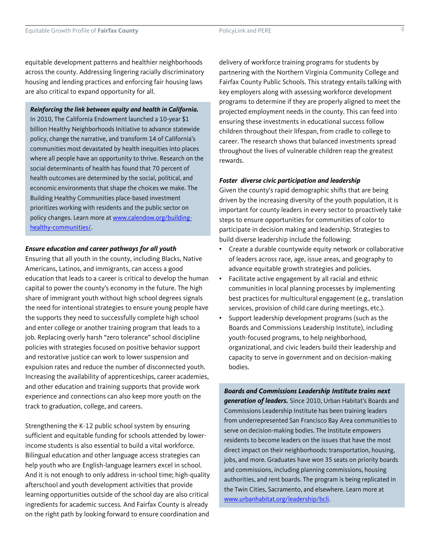equitable development patterns and healthier neighborhoods across the county. Addressing lingering racially discriminatory housing and lending practices and enforcing fair housing laws are also critical to expand opportunity for all.

#### *Reinforcing the link between equity and health in California.*

In 2010, The California Endowment launched a 10-year \$1 billion Healthy Neighborhoods Initiative to advance statewide policy, change the narrative, and transform 14 of California's communities most devastated by health inequities into places where all people have an opportunity to thrive. Research on the social determinants of health has found that 70 percent of health outcomes are determined by the social, political, and economic environments that shape the choices we make. The Building Healthy Communities place-based investment prioritizes working with residents and the public sector on [policy changes. Learn more at www.calendow.org/building](http://www.calendow.org/building-healthy-communities/)healthy-communities/.

#### *Ensure education and career pathways for all youth*

Ensuring that all youth in the county, including Blacks, Native Americans, Latinos, and immigrants, can access a good education that leads to a career is critical to develop the human capital to power the county's economy in the future. The high share of immigrant youth without high school degrees signals the need for intentional strategies to ensure young people have the supports they need to successfully complete high school and enter college or another training program that leads to a job. Replacing overly harsh "zero tolerance" school discipline policies with strategies focused on positive behavior support and restorative justice can work to lower suspension and expulsion rates and reduce the number of disconnected youth. Increasing the availability of apprenticeships, career academies, and other education and training supports that provide work experience and connections can also keep more youth on the track to graduation, college, and careers.

Strengthening the K-12 public school system by ensuring sufficient and equitable funding for schools attended by lowerincome students is also essential to build a vital workforce. Bilingual education and other language access strategies can help youth who are English-language learners excel in school. And it is not enough to only address in-school time; high-quality afterschool and youth development activities that provide learning opportunities outside of the school day are also critical ingredients for academic success. And Fairfax County is already on the right path by looking forward to ensure coordination and

delivery of workforce training programs for students by partnering with the Northern Virginia Community College and Fairfax County Public Schools. This strategy entails talking with key employers along with assessing workforce development programs to determine if they are properly aligned to meet the projected employment needs in the county. This can feed into ensuring these investments in educational success follow children throughout their lifespan, from cradle to college to career. The research shows that balanced investments spread throughout the lives of vulnerable children reap the greatest rewards.

#### *Foster diverse civic participation and leadership*

Given the county's rapid demographic shifts that are being driven by the increasing diversity of the youth population, it is important for county leaders in every sector to proactively take steps to ensure opportunities for communities of color to participate in decision making and leadership. Strategies to build diverse leadership include the following:

- Create a durable countywide equity network or collaborative of leaders across race, age, issue areas, and geography to advance equitable growth strategies and policies.
- Facilitate active engagement by all racial and ethnic communities in local planning processes by implementing best practices for multicultural engagement (e.g., translation services, provision of child care during meetings, etc.).
- Support leadership development programs (such as the Boards and Commissions Leadership Institute), including youth-focused programs, to help neighborhood, organizational, and civic leaders build their leadership and capacity to serve in government and on decision-making bodies.

*Boards and Commissions Leadership Institute trains next generation of leaders.* Since 2010, Urban Habitat's Boards and Commissions Leadership Institute has been training leaders from underrepresented San Francisco Bay Area communities to serve on decision-making bodies. The Institute empowers residents to become leaders on the issues that have the most direct impact on their neighborhoods: transportation, housing, jobs, and more. Graduates have won 35 seats on priority boards and commissions, including planning commissions, housing authorities, and rent boards. The program is being replicated in the Twin Cities, Sacramento, and elsewhere. Learn more at [www.urbanhabitat.org/leadership/bcli.](http://www.urbanhabitat.org/leadership/bcli)